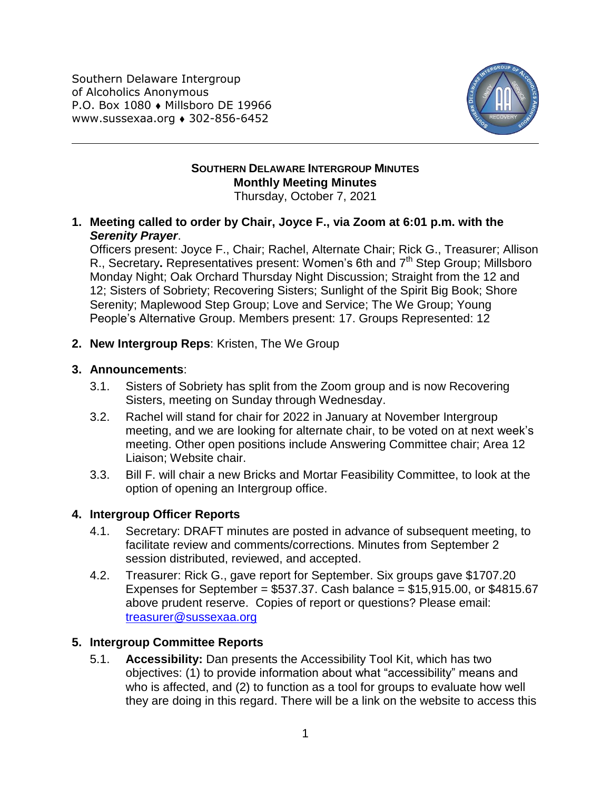Southern Delaware Intergroup of Alcoholics Anonymous P.O. Box 1080 • Millsboro DE 19966 www.sussexaa.org 302-856-6452



# **SOUTHERN DELAWARE INTERGROUP MINUTES Monthly Meeting Minutes**

Thursday, October 7, 2021

### **1. Meeting called to order by Chair, Joyce F., via Zoom at 6:01 p.m. with the**  *Serenity Prayer*.

Officers present: Joyce F., Chair; Rachel, Alternate Chair; Rick G., Treasurer; Allison R., Secretary**.** Representatives present: Women's 6th and 7th Step Group; Millsboro Monday Night; Oak Orchard Thursday Night Discussion; Straight from the 12 and 12; Sisters of Sobriety; Recovering Sisters; Sunlight of the Spirit Big Book; Shore Serenity; Maplewood Step Group; Love and Service; The We Group; Young People's Alternative Group. Members present: 17. Groups Represented: 12

## **2. New Intergroup Reps**: Kristen, The We Group

### **3. Announcements**:

- 3.1. Sisters of Sobriety has split from the Zoom group and is now Recovering Sisters, meeting on Sunday through Wednesday.
- 3.2. Rachel will stand for chair for 2022 in January at November Intergroup meeting, and we are looking for alternate chair, to be voted on at next week's meeting. Other open positions include Answering Committee chair; Area 12 Liaison; Website chair.
- 3.3. Bill F. will chair a new Bricks and Mortar Feasibility Committee, to look at the option of opening an Intergroup office.

## **4. Intergroup Officer Reports**

- 4.1. Secretary: DRAFT minutes are posted in advance of subsequent meeting, to facilitate review and comments/corrections. Minutes from September 2 session distributed, reviewed, and accepted.
- 4.2. Treasurer: Rick G., gave report for September. Six groups gave \$1707.20 Expenses for September =  $$537.37$ . Cash balance =  $$15,915.00$ , or  $$4815.67$ above prudent reserve. Copies of report or questions? Please email: [treasurer@sussexaa.org](mailto:treasurer@sussexaa.org)

## **5. Intergroup Committee Reports**

5.1. **Accessibility:** Dan presents the Accessibility Tool Kit, which has two objectives: (1) to provide information about what "accessibility" means and who is affected, and (2) to function as a tool for groups to evaluate how well they are doing in this regard. There will be a link on the website to access this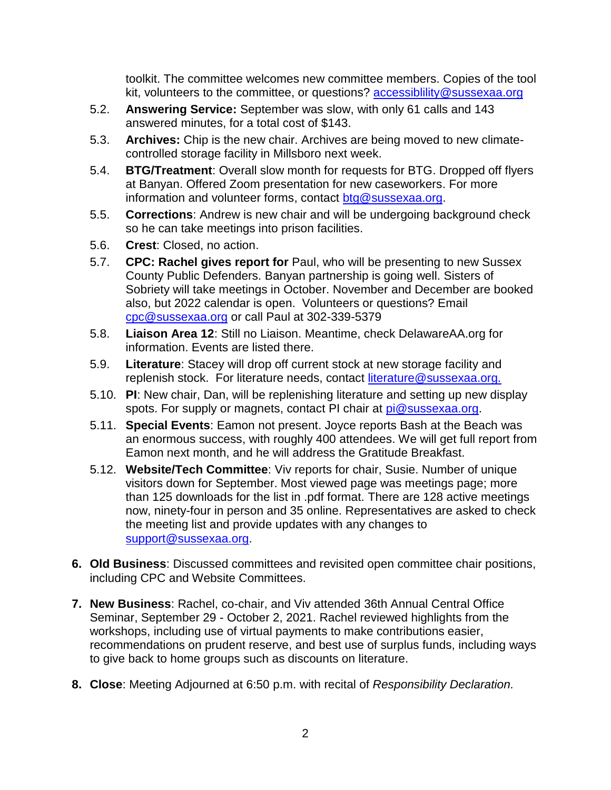toolkit. The committee welcomes new committee members. Copies of the tool kit, volunteers to the committee, or questions? accessibiliity@sussexaa.org

- 5.2. **Answering Service:** September was slow, with only 61 calls and 143 answered minutes, for a total cost of \$143.
- 5.3. **Archives:** Chip is the new chair. Archives are being moved to new climatecontrolled storage facility in Millsboro next week.
- 5.4. **BTG/Treatment**: Overall slow month for requests for BTG. Dropped off flyers at Banyan. Offered Zoom presentation for new caseworkers. For more information and volunteer forms, contact [btg@sussexaa.org.](mailto:btg@sussexaa.org)
- 5.5. **Corrections**: Andrew is new chair and will be undergoing background check so he can take meetings into prison facilities.
- 5.6. **Crest**: Closed, no action.
- 5.7. **CPC: Rachel gives report for** Paul, who will be presenting to new Sussex County Public Defenders. Banyan partnership is going well. Sisters of Sobriety will take meetings in October. November and December are booked also, but 2022 calendar is open. Volunteers or questions? Email [cpc@sussexaa.org](mailto:cpc@sussexaa.org) or call Paul at 302-339-5379
- 5.8. **Liaison Area 12**: Still no Liaison. Meantime, check DelawareAA.org for information. Events are listed there.
- 5.9. **Literature**: Stacey will drop off current stock at new storage facility and replenish stock. For literature needs, contact [literature@sussexaa.org.](mailto:literature@sussexaa.org.)
- 5.10. **PI**: New chair, Dan, will be replenishing literature and setting up new display spots. For supply or magnets, contact PI chair at [pi@sussexaa.org.](mailto:pi@sussexaa.org)
- 5.11. **Special Events**: Eamon not present. Joyce reports Bash at the Beach was an enormous success, with roughly 400 attendees. We will get full report from Eamon next month, and he will address the Gratitude Breakfast.
- 5.12. **Website/Tech Committee**: Viv reports for chair, Susie. Number of unique visitors down for September. Most viewed page was meetings page; more than 125 downloads for the list in .pdf format. There are 128 active meetings now, ninety-four in person and 35 online. Representatives are asked to check the meeting list and provide updates with any changes to [support@sussexaa.org.](mailto:support@sussexaa.org)
- **6. Old Business**: Discussed committees and revisited open committee chair positions, including CPC and Website Committees.
- **7. New Business**: Rachel, co-chair, and Viv attended 36th Annual Central Office Seminar, September 29 - October 2, 2021. Rachel reviewed highlights from the workshops, including use of virtual payments to make contributions easier, recommendations on prudent reserve, and best use of surplus funds, including ways to give back to home groups such as discounts on literature.
- **8. Close**: Meeting Adjourned at 6:50 p.m. with recital of *Responsibility Declaration.*